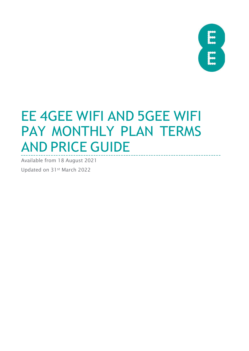

# EE 4GEE WIFI AND 5GEE WIFI PAY MONTHLY PLAN TERMS AND PRICE GUIDE

Available from 18 August 2021

Updated on 31st March 2022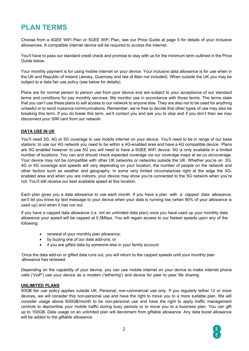# **PLAN TERMS**

Choose from a 4GEE WiFi Plan or 5GEE WiFi Plan, see our Price Guide at page 5 for details of your inclusive allowances. A compatible internet device will be required to access the internet.

You'll have to pass our standard credit check and promise to stay with us for the minimum term outlined in the Price Guide below.

Your monthly payment is for using mobile internet on your device. Your inclusive data allowance is for use when in the UK and Republic of Ireland (Jersey, Guernsey and Isle of Man not included). When outside the UK you may be subject to a data fair use policy (see below for details).

Plans are for normal person to person use from your device and are subject to your acceptance of our standard terms and conditions for pay monthly services. We monitor use in accordance with those terms. The terms state that you can't use these plans to sell access to our network to anyone else. They are also not to be used for anything unlawful or to send nuisance communications. Remember, we're free to decide that other types of use may also be breaking this term. If you do break this term, we'll contact you and ask you to stop and if you don't then we may disconnect your SIM card from our network.

#### **DATA USE IN UK**

You'll need 3G, 4G or 5G coverage to use mobile internet on your device. You'll need to be in range of our base stations: to use our 4G network you need to be within a 4G-enabled area and have a 4G compatible device. Plans are 5G enabled however to use 5G you will need to have a 5GEE WiFi device. 5G is only available in a limited number of locations. You can and should check expected coverage via our coverage maps at ee.co.uk/coverage. Your device may not be compatible with other UK networks or networks outside the UK. Whether you're on 3G, 4G or 5G coverage and speeds will vary depending on your location, the number of people on the network and other factors such as weather and geography. In some very limited circumstances right at the edge the 5Genabled area and when you are indoors, your device may show you're connected to the 5G network when you're not. You'll still receive our best available speed at this location.

Each plan gives you a data allowance to use each month. If you have a plan with a capped data allowance, we'll let you know by text message to your device when your data is running low (when 80% of your allowance is used up) and when it has run out.

If you have a capped data allowance (i.e. not an unlimited data plan) once you have used up your monthly data allowance your speed will be capped at 0.5Mbps. You will regain access to our fastest speeds upon any of the following:

- renewal of your monthly plan allowance;
- by buying one of our data add-ons; or
- if you are gifted data by someone else in your family account.

Once the data add-on or gifted data runs out, you will return to the capped speeds until your monthly plan allowance has renewed.

Depending on the capability of your device, you can use mobile internet on your device to make internet phone calls ('VoiP') use your device as a modem ('tethering') and device for peer to peer file sharing.

#### **UNLIMITED PLANS**

50GB fair use policy applies outside UK. Personal, non-commercial use only. If you regularly tether 12 or more devices, we will consider this non-personal use and have the right to move you to a more suitable plan. We will consider usage above 600GB/month to be non-personal use and have the right to apply traffic management controls to deprioritise your mobile traffic during busy periods or to move you to a business plan. You can gift up to 100GB. Data usage on an unlimited plan will decrement from giftable allowance. Any data boost allowance will be added to the giftable allowance.

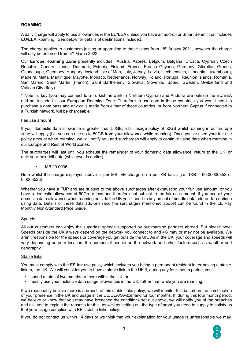#### **ROAMING**

A daily charge will apply to use allowances in the EU/EEA unless you have an add-on or Smart Benefit that includes EU/EEA Roaming. See below for details of destinations included.

The charge applies to customers joining or upgrading to these plans from  $18<sup>th</sup>$  August 2021, however the charge will only be enforced from 3rd March 2022.

Our **Europe Roaming Zone** presently includes:, Austria, Azores, Belgium, Bulgaria, Croatia, Cyprus\*, Czech Republic, Canary Islands, Denmark, Estonia, Finland, France, French Guyana, Germany, Gibraltar, Greece, Guadeloupe, Guernsey, Hungary, Iceland, Isle of Man, Italy, Jersey, Latvia, Liechtenstein, Lithuania, Luxembourg, Madeira, Malta, Martinique, Mayotte, Monaco, Netherlands, Norway, Poland, Portugal, Reunion Islands, Romania, San Marino, Saint Martin (French), Saint Barthelemy, Slovakia, Slovenia, Spain, Sweden, Switzerland and Vatican City (Italy).

\* Note Turkey (you may connect to a Turkish network in Northern Cyprus) and Andorra are outside the EU/EEA and not included in our European Roaming Zone. Therefore to use data in these countries you would need to purchase a data pass and any calls made from either of these countries, or from Northern Cyprus if connected to a Turkish network, will be chargeable.

#### Fair use amount

If your domestic data allowance is greater than 50GB, a fair usage policy of 50GB whilst roaming in our Europe zone will apply (i.e. you can use up to 50GB from your allowance while roaming). Once you've used your fair use policy amount when roaming, we will notify you and surcharges will apply to continue using data when roaming in our Europe and Rest of World Zones.

The surcharges will last until you exhaust the remainder of your domestic data allowance, return to the UK, or until your next bill date (whichever is earlier).

• 1MB £0.0036

Note whilst the charge displayed above is per MB, EE charge on a per KB basis (i.e. 1KB = £0.00000352 or 0.000352p).

Whether you have a FUP and are subject to the above surcharges after exhausting your fair use amount, or you have a domestic allowance of 50Gb or less and therefore not subject to the fair use amount, if you use all your domestic data allowance when roaming outside the UK you'll need to buy an out of bundle data add-on to continue using data. Details of these data add-ons (and the surcharges mentioned above) can be found in the EE Pay Monthly Non-Standard Price Guide.

#### **Speeds**

All our customers can enjoy the superfast speeds supported by our roaming partners abroad. But please note: Speeds outside the UK always depend on the network you connect to and 4G may or may not be available. We aren't responsible for the speeds or coverage you get outside the UK. As in the UK, your coverage and speeds will vary depending on your location, the number of people on the network and other factors such as weather and geography.

#### Stable links

You must comply with the EE fair use policy which includes you being a permanent resident in, or having a stable link to, the UK. We will consider you to have a stable link to the UK if, during any four-month period, you:

- spend a total of two months or more within the UK; or
- mainly use your inclusive data usage allowances in the UK, rather than while you are roaming.

If we reasonably believe there is a breach of this stable links policy, we will monitor this based on the combination of your presence in the UK and usage in the EU/EEA/Switzerland for four months. If, during this four month period, we believe or know that you may have breached the conditions set out above, we will notify you of the breaches and ask you to explain the reasons for this, as well as setting out the type of proof you need to supply to satisfy us that your usage complies with EE's stable links policy.

If you do not contact us within 14 days or we think that your explanation for your usage is unreasonable we may

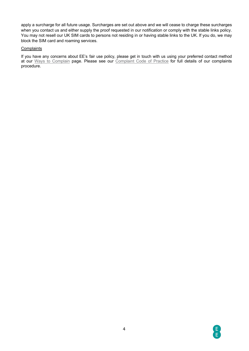apply a surcharge for all future usage. Surcharges are set out above and we will cease to charge these surcharges when you contact us and either supply the proof requested in our notification or comply with the stable links policy. You may not resell our UK SIM cards to persons not residing in or having stable links to the UK. If you do, we may block the SIM card and roaming services.

#### **Complaints**

If you have any concerns about EE's fair use policy, please get in touch with us using your preferred contact method at our [Ways to Complain](https://ee.co.uk/help/help-new/make-a-complaint) page. Please see our [Complaint Code of Practice](https://ee.co.uk/help/help-new/safety-and-security/protecting-your-information/complaints-code-of-practice) for full details of our complaints procedure.

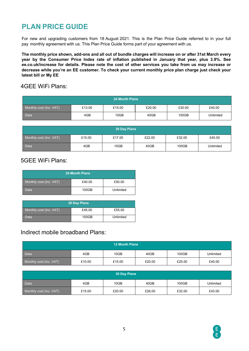# **PLAN PRICE GUIDE**

For new and upgrading customers from 18 August 2021. This is the Plan Price Guide referred to in your full pay monthly agreement with us. This Plan Price Guide forms part of your agreement with us.

The monthly price shown, add-ons and all out of bundle charges will increase on or after 31st March every **year by the Consumer Price Index rate of inflation published in January that year, plus 3.9%. See ee.co.uk/increase for details. Please note the cost of other services you take from us may increase or decrease while you're an EE customer. To check your current monthly price plan charge just check your latest bill or My EE**

## 4GEE WiFi Plans:

| <b>24 Month Plans</b>   |        |        |        |        |           |  |
|-------------------------|--------|--------|--------|--------|-----------|--|
| Monthly cost (Inc. VAT) | £13.00 | £15.00 | £20.00 | £30.00 | £40.00    |  |
| Data                    | 4GB    | 10GB   | 40GB   | 100GB  | Unlimited |  |

| 30 Day Plans            |        |        |        |        |           |
|-------------------------|--------|--------|--------|--------|-----------|
| Monthly cost (Inc. VAT) | £15.00 | £17.00 | £22.00 | £32.00 | £45.00    |
| Data                    | 4GB    | 10GB   | 40GB   | 100GB  | Unlimited |

## 5GEE WiFi Plans:

| <b>24 Month Plans</b>   |        |           |  |  |  |  |
|-------------------------|--------|-----------|--|--|--|--|
| Monthly cost (Inc. VAT) | £40.00 | £50.00    |  |  |  |  |
| Data                    | 100GB  | Unlimited |  |  |  |  |

| <b>30 Day Plans</b>     |        |           |  |  |  |
|-------------------------|--------|-----------|--|--|--|
| Monthly cost (Inc. VAT) | £45.00 | £55.00    |  |  |  |
| Data                    | 100GB  | Unlimited |  |  |  |

## Indirect mobile broadband Plans:

| <b>12 Month Plans</b>   |        |        |        |        |           |  |
|-------------------------|--------|--------|--------|--------|-----------|--|
| Data                    | 4GB    | 10GB   | 40GB   | 100GB  | Unlimited |  |
| Monthly cost (inc. VAT) | £10.00 | £15.00 | £20.00 | £25.00 | £40.00    |  |

| 30 Day Plans            |        |        |        |        |           |  |
|-------------------------|--------|--------|--------|--------|-----------|--|
| <b>Data</b>             | 4GB    | 10GB   | 40GB   | 100GB  | Unlimited |  |
| Monthly cost (inc. VAT) | £15.00 | £20.00 | £26.00 | £32.00 | £43.00    |  |